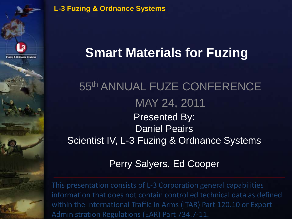

#### **L-3 Fuzing & Ordnance Systems**

### **Smart Materials for Fuzing**

### 55th ANNUAL FUZE CONFERENCE MAY 24, 2011 Presented By: Daniel Peairs Scientist IV, L-3 Fuzing & Ordnance Systems

### Perry Salyers, Ed Cooper

This presentation consists of L-3 Corporation general capabilities information that does not contain controlled technical data as defined within the International Traffic in Arms (ITAR) Part 120.10 or Export Administration Regulations (EAR) Part 734.7-11.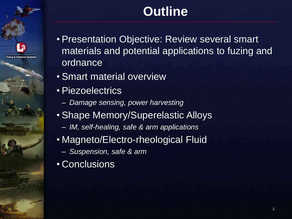

## **Outline**

- Presentation Objective: Review several smart materials and potential applications to fuzing and ordnance
- Smart material overview
- Piezoelectrics
	- *Damage sensing, power harvesting*
- Shape Memory/Superelastic Alloys
	- *IM, self-healing, safe & arm applications*
- Magneto/Electro-rheological Fluid
	- *Suspension, safe & arm*
- Conclusions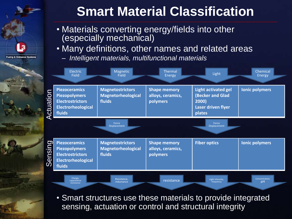

### **Smart Material Classification**

- Materials converting energy/fields into other (especially mechanical)
- Many definitions, other names and related areas
	- *Intelligent materials, multifunctional materials*



• Smart structures use these materials to provide integrated sensing, actuation or control and structural integrity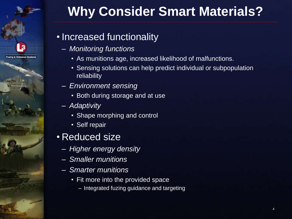

### **Why Consider Smart Materials?**

### • Increased functionality

- *Monitoring functions*
	- As munitions age, increased likelihood of malfunctions.
	- Sensing solutions can help predict individual or subpopulation reliability
- *Environment sensing*
	- Both during storage and at use
- *Adaptivity*
	- Shape morphing and control
	- Self repair
- Reduced size
	- *Higher energy density*
	- *Smaller munitions*
	- *Smarter munitions* 
		- Fit more into the provided space
			- Integrated fuzing guidance and targeting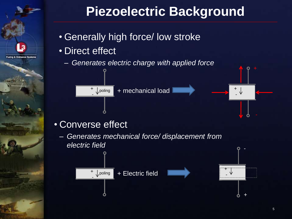

### **Piezoelectric Background**

- Generally high force/ low stroke
- Direct effect
	- *Generates electric charge with applied force*



### • Converse effect

+ -

– *Generates mechanical force/ displacement from electric field*



+

-

-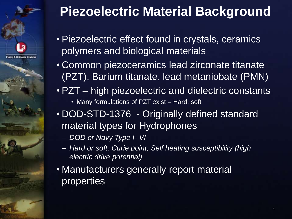

## **Piezoelectric Material Background**

- Piezoelectric effect found in crystals, ceramics polymers and biological materials
- Common piezoceramics lead zirconate titanate (PZT), Barium titanate, lead metaniobate (PMN)
- PZT high piezoelectric and dielectric constants
	- Many formulations of PZT exist Hard, soft
- DOD-STD-1376 Originally defined standard material types for Hydrophones
	- *DOD or Navy Type I- VI*
	- *Hard or soft, Curie point, Self heating susceptibility (high electric drive potential)*
- Manufacturers generally report material properties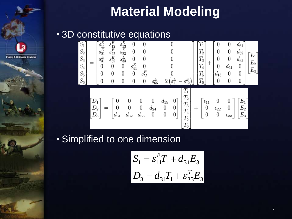

### **Material Modeling**



• Simplified to one dimension

$$
\begin{vmatrix} S_1 = s_{11}^E T_1 + d_{31} E_3 \\ D_3 = d_{31} T_1 + \varepsilon_{33}^T E_3 \end{vmatrix}
$$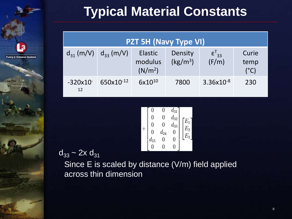

### **Typical Material Constants**

| <b>PZT 5H (Navy Type VI)</b>  |                       |                                                  |                                 |                                       |                                |
|-------------------------------|-----------------------|--------------------------------------------------|---------------------------------|---------------------------------------|--------------------------------|
| $d_{31}$ (m/V) $d_{33}$ (m/V) |                       | <b>Elastic</b><br>modulus<br>(N/m <sup>2</sup> ) | Density<br>(kg/m <sup>3</sup> ) | $\mathcal{E}^{\dagger}_{33}$<br>(F/m) | Curie<br>temp<br>$(^{\circ}C)$ |
| $-320x10^{-}$<br>12           | 650x10 <sup>-12</sup> | $6x10^{10}$                                      | 7800                            | $3.36x10^{-8}$                        | 230                            |

$$
+\begin{bmatrix} 0 & 0 & d_{31} \\ 0 & 0 & d_{32} \\ 0 & 0 & d_{33} \\ 0 & d_{24} & 0 \\ d_{15} & 0 & 0 \\ 0 & 0 & 0 \end{bmatrix} \begin{bmatrix} E_1 \\ E_2 \\ E_3 \end{bmatrix}
$$

$$
d_{33} \sim 2x \, d_{31}
$$

Since E is scaled by distance (V/m) field applied across thin dimension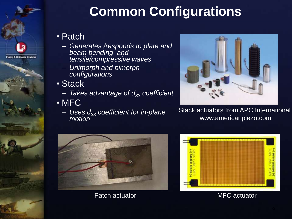



### • Patch

- *Generates /responds to plate and beam bending and tensile/compressive waves*
- *Unimorph and bimorph configurations*
- Stack
	- *Takes advantage of d<sup>33</sup> coefficient*
- MFC
	- *Uses d<sup>33</sup> coefficient for in-plane motion*



Stack actuators from APC International www.americanpiezo.com



Patch actuator **MFC** actuator

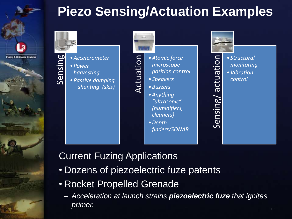

# **Piezo Sensing/Actuation Examples**



•*Accelerometer*  •*Power harvesting* •*Passive damping* 

*– shunting (skis)*

Actuation •*Atomic force microscope position control* •*Speakers* •*Buzzers* •*Anything* 

- *"ultrasonic" (humidifiers, cleaners)*
- •*Depth finders/SONAR*

Sensing/actuation •*Structural monitoring* •*Vibration control*

idati

Sensing

Current Fuzing Applications

- Dozens of piezoelectric fuze patents
- Rocket Propelled Grenade

– *Acceleration at launch strains piezoelectric fuze that ignites primer.*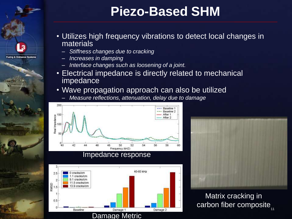

### **Piezo-Based SHM**

- Utilizes high frequency vibrations to detect local changes in materials
	- *Stiffness changes due to cracking*
	- *Increases in damping*
	- *Interface changes such as loosening of a joint.*
- Electrical impedance is directly related to mechanical impedance
- Wave propagation approach can also be utilized





Impedance response



11 Matrix cracking in carbon fiber composite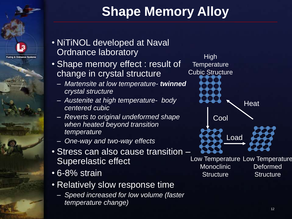

# **Shape Memory Alloy**

- NiTiNOL developed at Naval **Ordnance laboratory**
- Shape memory effect : result of change in crystal structure
	- *Martensite at low temperature- twinned crystal structure*
	- *Austenite at high temperature- body centered cubic*
	- *Reverts to original undeformed shape when heated beyond transition temperature*
	- *One-way and two-way effects*
- Stress can also cause transition Superelastic effect
- 6-8% strain
- Relatively slow response time
	- *Speed increased for low volume (faster temperature change)*



Low Temperature Low Temperature **Monoclinic Structure** Deformed **Structure**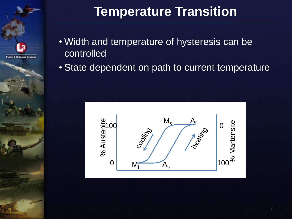

### **Temperature Transition**

- Width and temperature of hysteresis can be controlled
- State dependent on path to current temperature

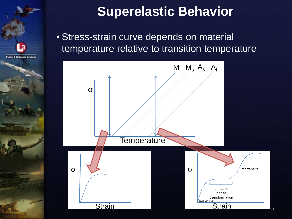

### **Superelastic Behavior**

• Stress-strain curve depends on material temperature relative to transition temperature

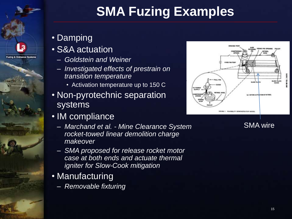

### **SMA Fuzing Examples**

- Damping
- S&A actuation
	- *Goldstein and Weiner*
	- *Investigated effects of prestrain on transition temperature*
		- Activation temperature up to 150 C
- Non-pyrotechnic separation systems
- IM compliance
	- *Marchand et al. - Mine Clearance System rocket-towed linear demolition charge makeover*
	- *SMA proposed for release rocket motor case at both ends and actuate thermal igniter for Slow-Cook mitigation*
- Manufacturing
	- *Removable fixturing*



SMA wire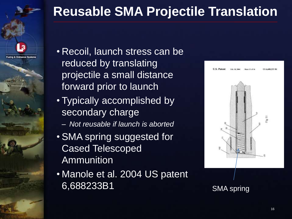

# **Reusable SMA Projectile Translation**

• Recoil, launch stress can be reduced by translating projectile a small distance forward prior to launch

- Typically accomplished by secondary charge
	- *Not reusable if launch is aborted*
- SMA spring suggested for Cased Telescoped Ammunition
- Manole et al. 2004 US patent 6,688233B1



SMA spring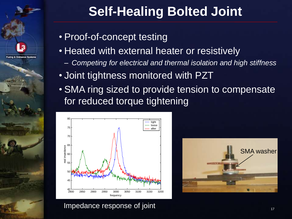

### **Self-Healing Bolted Joint**

- Proof-of-concept testing
- Heated with external heater or resistively
	- *Competing for electrical and thermal isolation and high stiffness*
- Joint tightness monitored with PZT
- SMA ring sized to provide tension to compensate for reduced torque tightening





Impedance response of joint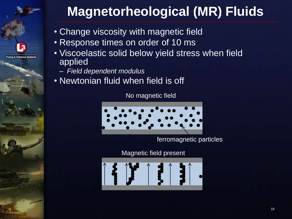

# **Magnetorheological (MR) Fluids**

- Change viscosity with magnetic field
- Response times on order of 10 ms
- Viscoelastic solid below yield stress when field applied
	- *Field dependent modulus*
- Newtonian fluid when field is off

No magnetic field



ferromagnetic particles

Magnetic field present

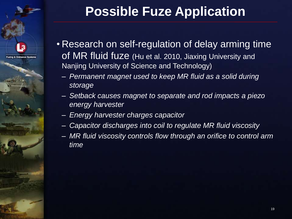

# **Possible Fuze Application**

- Research on self-regulation of delay arming time of MR fluid fuze (Hu et al. 2010, Jiaxing University and Nanjing University of Science and Technology)
	- *Permanent magnet used to keep MR fluid as a solid during storage*
	- *Setback causes magnet to separate and rod impacts a piezo energy harvester*
	- *Energy harvester charges capacitor*
	- *Capacitor discharges into coil to regulate MR fluid viscosity*
	- *MR fluid viscosity controls flow through an orifice to control arm time*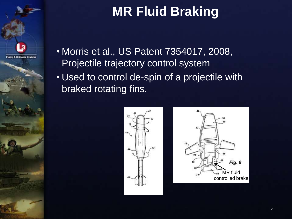# **MR Fluid Braking**

**Fuzing & Ordnance Systems** 

- Morris et al., US Patent 7354017, 2008, Projectile trajectory control system
- Used to control de-spin of a projectile with braked rotating fins.